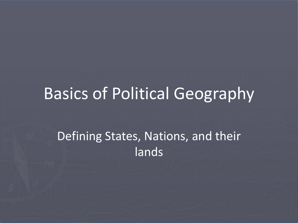## Basics of Political Geography

#### Defining States, Nations, and their lands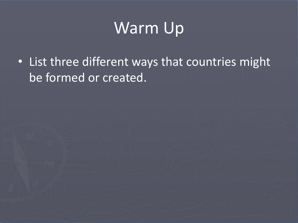## Warm Up

• List three different ways that countries might be formed or created.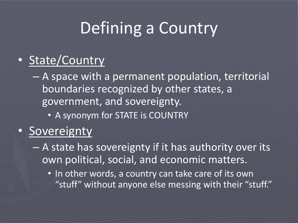# Defining a Country

#### • State/Country

– A space with a permanent population, territorial boundaries recognized by other states, a government, and sovereignty.

• A synonym for STATE is COUNTRY

#### • Sovereignty

- A state has sovereignty if it has authority over its own political, social, and economic matters.
	- In other words, a country can take care of its own "stuff" without anyone else messing with their "stuff."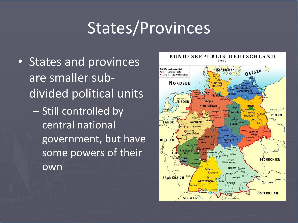## States/Provinces

• States and provinces are smaller subdivided political units – Still controlled by central national government, but have some powers of their own

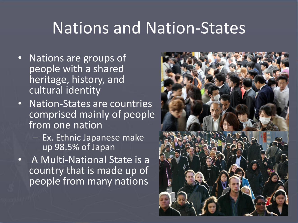### Nations and Nation-States

- Nations are groups of people with a shared heritage, history, and cultural identity
- Nation-States are countries comprised mainly of people from one nation
	- Ex. Ethnic Japanese make up 98.5% of Japan
- A Multi-National State is a country that is made up of people from many nations

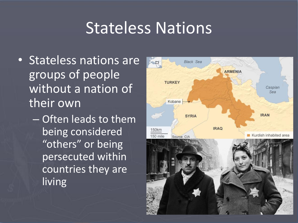### Stateless Nations

- Stateless nations are groups of people without a nation of their own
	- Often leads to them being considered "others" or being persecuted within countries they are living

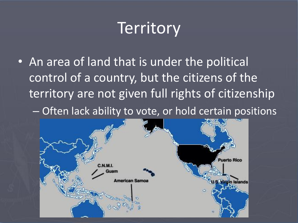## **Territory**

• An area of land that is under the political control of a country, but the citizens of the territory are not given full rights of citizenship – Often lack ability to vote, or hold certain positions